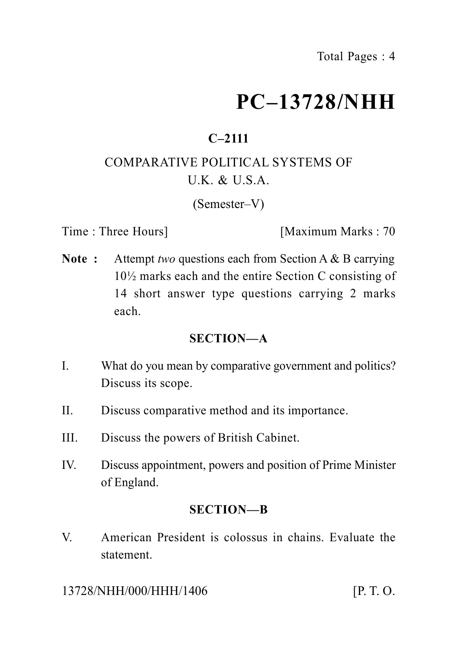# **PC–13728/NHH**

# **C–2111**

# COMPARATIVE POLITICAL SYSTEMS OF  $U K$  & U.S.A.

(Semester–V)

Time : Three Hours] [Maximum Marks : 70

**Note :** Attempt *two* questions each from Section A & B carrying 10½ marks each and the entire Section C consisting of 14 short answer type questions carrying 2 marks each.

### **SECTION—A**

- I. What do you mean by comparative government and politics? Discuss its scope.
- II. Discuss comparative method and its importance.
- III. Discuss the powers of British Cabinet.
- IV. Discuss appointment, powers and position of Prime Minister of England.

### **SECTION—B**

V. American President is colossus in chains. Evaluate the statement.

13728/NHH/000/HHH/1406 [P. T. O.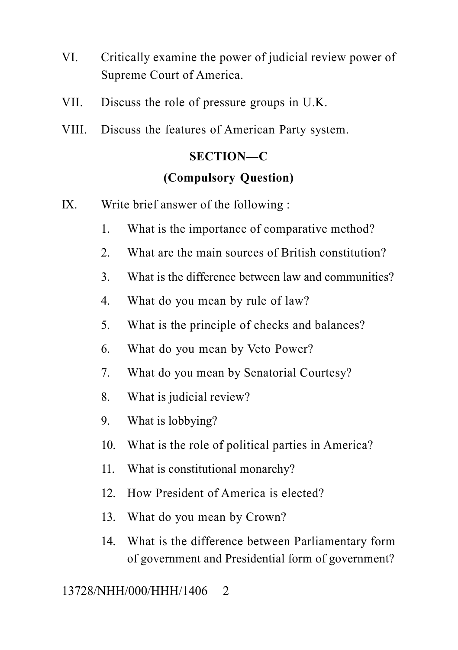- VI. Critically examine the power of judicial review power of Supreme Court of America.
- VII. Discuss the role of pressure groups in U.K.
- VIII. Discuss the features of American Party system.

# **SECTION—C (Compulsory Question)**

- IX. Write brief answer of the following :
	- 1. What is the importance of comparative method?
	- 2. What are the main sources of British constitution?
	- 3. What is the difference between law and communities?
	- 4. What do you mean by rule of law?
	- 5. What is the principle of checks and balances?
	- 6. What do you mean by Veto Power?
	- 7. What do you mean by Senatorial Courtesy?
	- 8. What is judicial review?
	- 9. What is lobbying?
	- 10. What is the role of political parties in America?
	- 11. What is constitutional monarchy?
	- 12. How President of America is elected?
	- 13. What do you mean by Crown?
	- 14. What is the difference between Parliamentary form of government and Presidential form of government?

13728/NHH/000/HHH/1406 2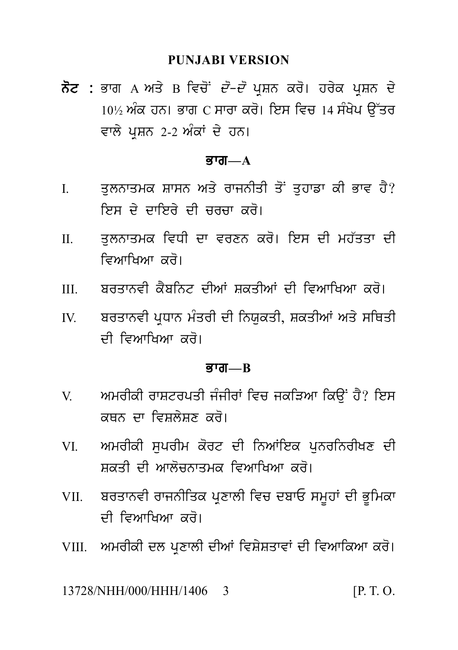#### **PUNJABI VERSION**

ਨੋਟ : ਭਾਗ A ਅਤੇ B ਵਿਚੋਂ *ਦੋ-ਦੋ* ਪਸ਼ਨ ਕਰੋ। ਹਰੇਕ ਪਸ਼ਨ ਦੇ  $10\%$  ਅੰਕ ਹਨ। ਭਾਗ C ਸਾਰਾ ਕਰੋ। ਇਸ ਵਿਚ 14 ਸੰਖੇਪ ਉੱਤਰ ਵਾਲੇ ਪਸ਼ਨ 2-2 ਅੰਕਾਂ ਦੇ ਹਨ।

#### ਭਾਗ $-\mathbf{A}$

- ਤਲਨਾਤਮਕ ਸ਼ਾਸਨ ਅਤੇ ਰਾਜਨੀਤੀ ਤੋਂ ਤਹਾਡਾ ਕੀ ਭਾਵ ਹੈ?  $\mathbf{I}$ ਇਸ ਦੇ ਦਾਇਰੇ ਦੀ ਚਰਚਾ ਕਰੋ।
- ਤਲਨਾਤਮਕ ਵਿਧੀ ਦਾ ਵਰਣਨ ਕਰੋ। ਇਸ ਦੀ ਮਹੱਤਤਾ ਦੀ  $\Pi$ ਵਿਆਖਿਆ ਕਰੋ।
- ਬਰਤਾਨਵੀ ਕੈਬਨਿਟ ਦੀਆਂ ਸ਼ਕਤੀਆਂ ਦੀ ਵਿਆਖਿਆ ਕਰੋ।  $III$
- ਬਰਤਾਨਵੀ ਪਧਾਨ ਮੰਤਰੀ ਦੀ ਨਿਯਕਤੀ, ਸ਼ਕਤੀਆਂ ਅਤੇ ਸਥਿਤੀ  $IV$ ਦੀ ਵਿਆਖਿਆ *ਕ*ਰੋ।

#### <u>ਕਾਗ $-R$ </u>

- ਅਮਰੀਕੀ ਰਾਸ਼ਟਰਪਤੀ ਜੰਜੀਰਾਂ ਵਿਚ ਜਕੜਿਆ ਕਿੳਂ ਹੈ? ਇਸ  $\mathbf{V}$ ਕਥਨ ਦਾ ਵਿਸ਼ਲੇਸ਼ਣ ਕਰੋ।
- ਅਮਰੀਕੀ ਸੁਪਰੀਮ ਕੋਰਟ ਦੀ ਨਿਆਂਇਕ ਪੁਨਰਨਿਰੀਖਣ ਦੀ VI — ਸਕਤੀ ਦੀ ਆਲੋਜਨਾਤਮਕ ਵਿਆਖਿਆ ਕਰੋ।
- ਬਰਤਾਨਵੀ ਰਾਜਨੀਤਿਕ ਪਣਾਲੀ ਵਿਚ ਦਬਾਓ ਸਮਹਾਂ ਦੀ ਭਮਿਕਾ VII. ਦੀ ਵਿਆਖਿਆ *ਕ*ਰੋ।
- VIII. ਅਮਰੀਕੀ ਦਲ ਪਣਾਲੀ ਦੀਆਂ ਵਿਸ਼ੇਸ਼ਤਾਵਾਂ ਦੀ ਵਿਆਕਿਆ ਕਰੋ।

13728/NHH/000/HHH/1406  $[P, T, O]$  $\mathcal{R}$